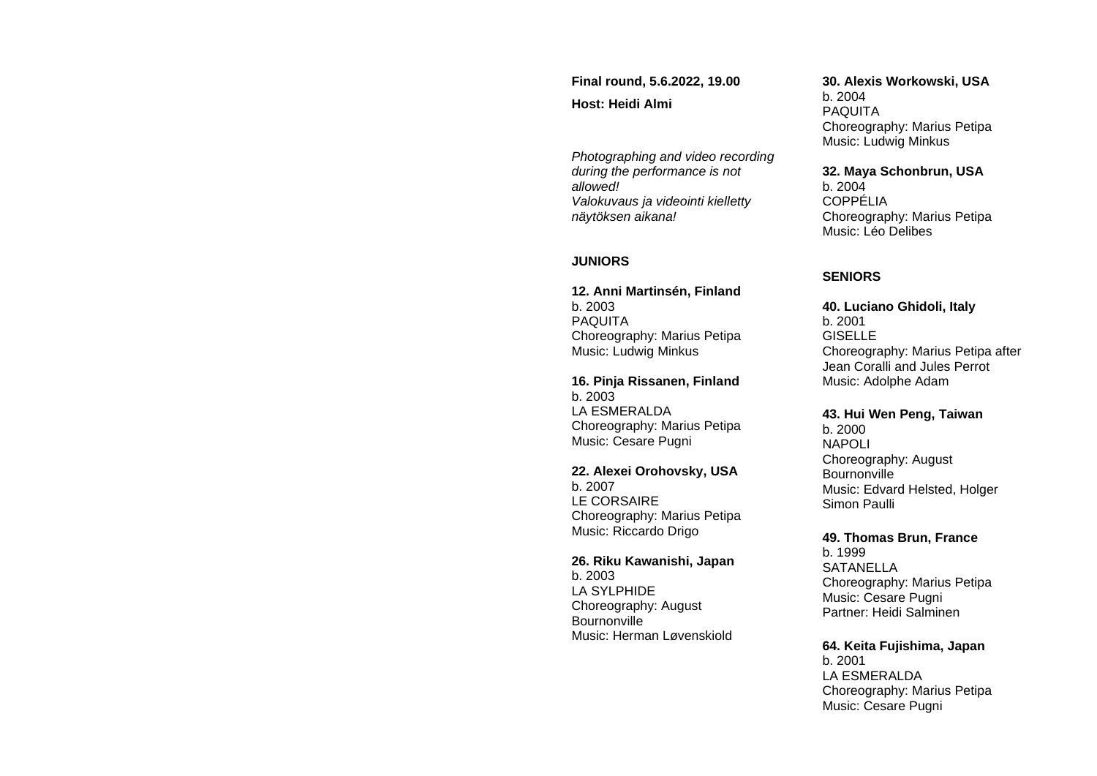**Final round, 5.6.2022, 19.00 Host: Heidi Almi**

*Photographing and video recording during the performance is not allowed! Valokuvaus ja videointi kielletty näytöksen aikana!*

### **JUNIORS**

**12. Anni Martinsén, Finland** b. 2003 PAQUITA Choreography: Marius Petipa Music: Ludwig Minkus

**16. Pinja Rissanen, Finland**  b. 2003 LA ESMERALDA Choreography: Marius Petipa Music: Cesare Pugni

**22. Alexei Orohovsky, USA** b. 2007 LE CORSAIRE Choreography: Marius Petipa Music: Riccardo Drigo

**26. Riku Kawanishi, Japan** b. 2003 LA SYLPHIDE Choreography: August **Bournonville** Music: Herman Løvenskiold

#### **30. Alexis Workowski, USA**

b. 2004 PAQUITA Choreography: Marius Petipa Music: Ludwig Minkus

**32. Maya Schonbrun, USA**

b. 2004 COPPÉLIA Choreography: Marius Petipa Music: Léo Delibes

#### **SENIORS**

**40. Luciano Ghidoli, Italy** b. 2001 **GISELLE** Choreography: Marius Petipa after Jean Coralli and Jules Perrot Music: Adolphe Adam

**43. Hui Wen Peng, Taiwan** b. 2000

NAPOLI Choreography: August **Bournonville** Music: Edvard Helsted, Holger Simon Paulli

**49. Thomas Brun, France** b. 1999 SATANELLA Choreography: Marius Petipa Music: Cesare Pugni Partner: Heidi Salminen

#### **64. Keita Fujishima, Japan**

b. 2001 LA ESMERALDA Choreography: Marius Petipa Music: Cesare Pugni